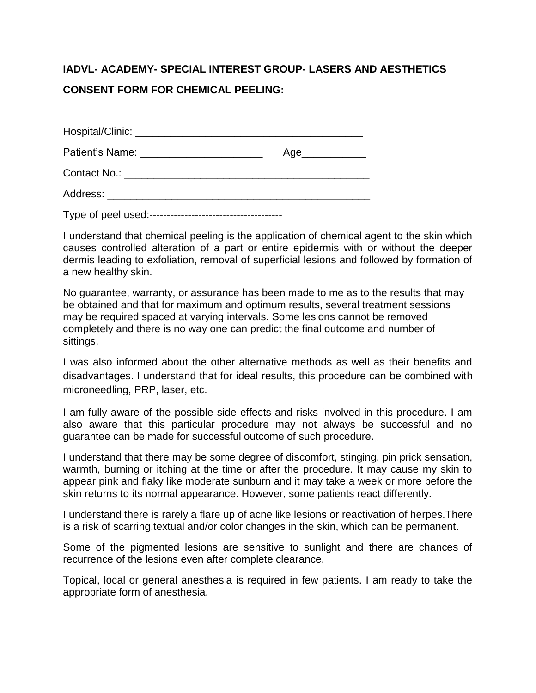## **IADVL- ACADEMY- SPECIAL INTEREST GROUP- LASERS AND AESTHETICS CONSENT FORM FOR CHEMICAL PEELING:**

|                                         | Age_____________ |
|-----------------------------------------|------------------|
|                                         |                  |
| Address: ______________________________ |                  |
|                                         |                  |

I understand that chemical peeling is the application of chemical agent to the skin which causes controlled alteration of a part or entire epidermis with or without the deeper dermis leading to exfoliation, removal of superficial lesions and followed by formation of a new healthy skin.

No guarantee, warranty, or assurance has been made to me as to the results that may be obtained and that for maximum and optimum results, several treatment sessions may be required spaced at varying intervals. Some lesions cannot be removed completely and there is no way one can predict the final outcome and number of sittings.

I was also informed about the other alternative methods as well as their benefits and disadvantages. I understand that for ideal results, this procedure can be combined with microneedling, PRP, laser, etc.

I am fully aware of the possible side effects and risks involved in this procedure. I am also aware that this particular procedure may not always be successful and no guarantee can be made for successful outcome of such procedure.

I understand that there may be some degree of discomfort, stinging, pin prick sensation, warmth, burning or itching at the time or after the procedure. It may cause my skin to appear pink and flaky like moderate sunburn and it may take a week or more before the skin returns to its normal appearance. However, some patients react differently.

I understand there is rarely a flare up of acne like lesions or reactivation of herpes.There is a risk of scarring,textual and/or color changes in the skin, which can be permanent.

Some of the pigmented lesions are sensitive to sunlight and there are chances of recurrence of the lesions even after complete clearance.

Topical, local or general anesthesia is required in few patients. I am ready to take the appropriate form of anesthesia.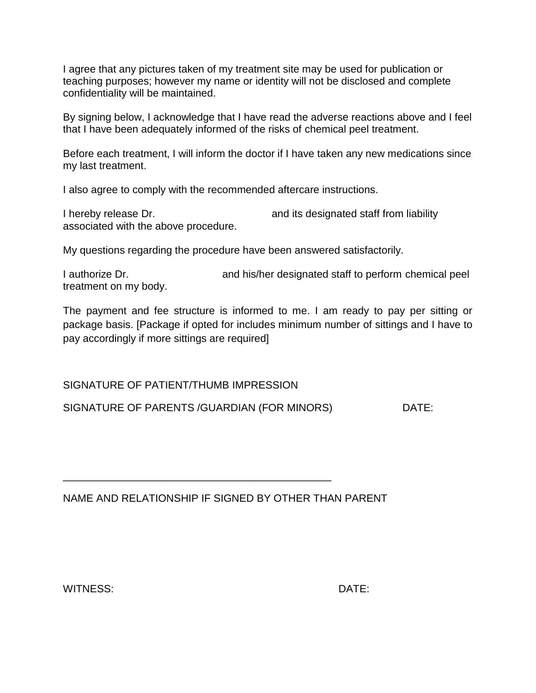I agree that any pictures taken of my treatment site may be used for publication or teaching purposes; however my name or identity will not be disclosed and complete confidentiality will be maintained.

By signing below, I acknowledge that I have read the adverse reactions above and I feel that I have been adequately informed of the risks of chemical peel treatment.

Before each treatment, I will inform the doctor if I have taken any new medications since my last treatment.

I also agree to comply with the recommended aftercare instructions.

I hereby release Dr.  $\qquad \qquad$  and its designated staff from liability associated with the above procedure.

My questions regarding the procedure have been answered satisfactorily.

I authorize Dr. https://www.and.his/her designated staff to perform chemical peel treatment on my body.

The payment and fee structure is informed to me. I am ready to pay per sitting or package basis. [Package if opted for includes minimum number of sittings and I have to pay accordingly if more sittings are required]

SIGNATURE OF PATIENT/THUMB IMPRESSION

SIGNATURE OF PARENTS /GUARDIAN (FOR MINORS) DATE:

NAME AND RELATIONSHIP IF SIGNED BY OTHER THAN PARENT

\_\_\_\_\_\_\_\_\_\_\_\_\_\_\_\_\_\_\_\_\_\_\_\_\_\_\_\_\_\_\_\_\_\_\_\_\_\_\_\_\_\_\_\_\_\_

WITNESS: DATE: